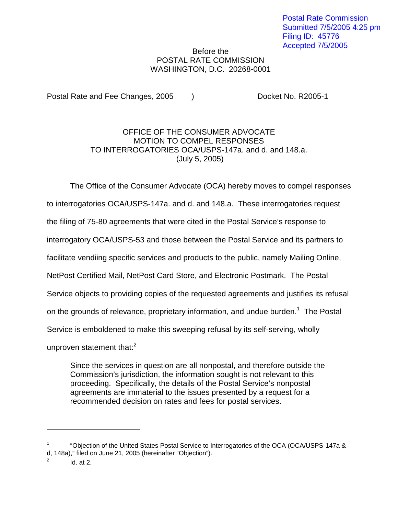## Before the POSTAL RATE COMMISSION WASHINGTON, D.C. 20268-0001

Postal Rate and Fee Changes, 2005 (a) Booket No. R2005-1

## OFFICE OF THE CONSUMER ADVOCATE MOTION TO COMPEL RESPONSES TO INTERROGATORIES OCA/USPS-147a. and d. and 148.a. (July 5, 2005)

The Office of the Consumer Advocate (OCA) hereby moves to compel responses

to interrogatories OCA/USPS-147a. and d. and 148.a. These interrogatories request

the filing of 75-80 agreements that were cited in the Postal Service's response to

interrogatory OCA/USPS-53 and those between the Postal Service and its partners to

facilitate vendiing specific services and products to the public, namely Mailing Online,

NetPost Certified Mail, NetPost Card Store, and Electronic Postmark. The Postal

Service objects to providing copies of the requested agreements and justifies its refusal

on the grounds of relevance, proprietary information, and undue burden.<sup>1</sup> The Postal

Service is emboldened to make this sweeping refusal by its self-serving, wholly

unproven statement that: $2<sup>2</sup>$ 

Since the services in question are all nonpostal, and therefore outside the Commission's jurisdiction, the information sought is not relevant to this proceeding. Specifically, the details of the Postal Service's nonpostal agreements are immaterial to the issues presented by a request for a recommended decision on rates and fees for postal services.

<sup>1</sup> "Objection of the United States Postal Service to Interrogatories of the OCA (OCA/USPS-147a & d, 148a)," filed on June 21, 2005 (hereinafter "Objection").

 $Id.$  at  $2.$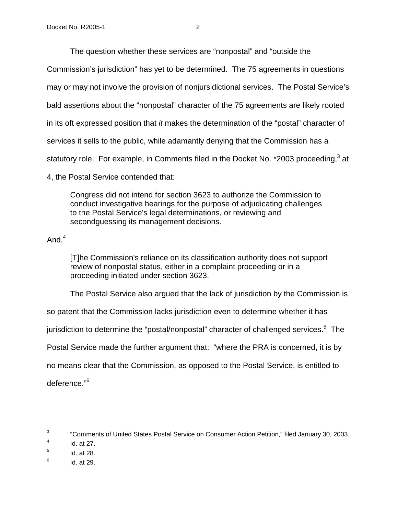The question whether these services are "nonpostal" and "outside the

Commission's jurisdiction" has yet to be determined. The 75 agreements in questions

may or may not involve the provision of nonjursidictional services. The Postal Service's

bald assertions about the "nonpostal" character of the 75 agreements are likely rooted

in its oft expressed position that it makes the determination of the "postal" character of

services it sells to the public, while adamantly denying that the Commission has a

statutory role. For example, in Comments filed in the Docket No. \*2003 proceeding, $3$  at

4, the Postal Service contended that:

Congress did not intend for section 3623 to authorize the Commission to conduct investigative hearings for the purpose of adjudicating challenges to the Postal Service's legal determinations, or reviewing and secondguessing its management decisions.

And, $4$ 

[T]he Commission's reliance on its classification authority does not support review of nonpostal status, either in a complaint proceeding or in a proceeding initiated under section 3623.

The Postal Service also argued that the lack of jurisdiction by the Commission is

so patent that the Commission lacks jurisdiction even to determine whether it has

jurisdiction to determine the "postal/nonpostal" character of challenged services.<sup>5</sup> The

Postal Service made the further argument that: "where the PRA is concerned, it is by

no means clear that the Commission, as opposed to the Postal Service, is entitled to

deference."6

<sup>&</sup>lt;sup>3</sup> "Comments of United States Postal Service on Consumer Action Petition," filed January 30, 2003.

 $4$  Id. at 27.

 $<sup>5</sup>$  Id. at 28.</sup>

 $6$  Id. at 29.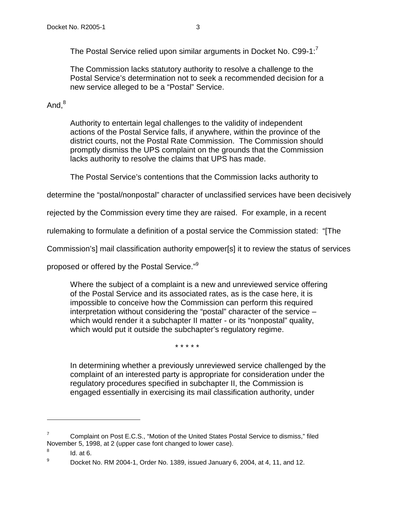The Postal Service relied upon similar arguments in Docket No. C99-1:<sup>7</sup>

The Commission lacks statutory authority to resolve a challenge to the Postal Service's determination not to seek a recommended decision for a new service alleged to be a "Postal" Service.

## And. $8$

Authority to entertain legal challenges to the validity of independent actions of the Postal Service falls, if anywhere, within the province of the district courts, not the Postal Rate Commission. The Commission should promptly dismiss the UPS complaint on the grounds that the Commission lacks authority to resolve the claims that UPS has made.

The Postal Service's contentions that the Commission lacks authority to

determine the "postal/nonpostal" character of unclassified services have been decisively

rejected by the Commission every time they are raised. For example, in a recent

rulemaking to formulate a definition of a postal service the Commission stated: "[The

Commission's] mail classification authority empower[s] it to review the status of services

proposed or offered by the Postal Service."9

Where the subject of a complaint is a new and unreviewed service offering of the Postal Service and its associated rates, as is the case here, it is impossible to conceive how the Commission can perform this required interpretation without considering the "postal" character of the service – which would render it a subchapter II matter - or its "nonpostal" quality, which would put it outside the subchapter's regulatory regime.

\* \* \* \* \*

In determining whether a previously unreviewed service challenged by the complaint of an interested party is appropriate for consideration under the regulatory procedures specified in subchapter II, the Commission is engaged essentially in exercising its mail classification authority, under

<sup>&</sup>lt;sup>7</sup> Complaint on Post E.C.S., "Motion of the United States Postal Service to dismiss," filed November 5, 1998, at 2 (upper case font changed to lower case).

 $8$  Id. at 6.

 $^{9}$  Docket No. RM 2004-1, Order No. 1389, issued January 6, 2004, at 4, 11, and 12.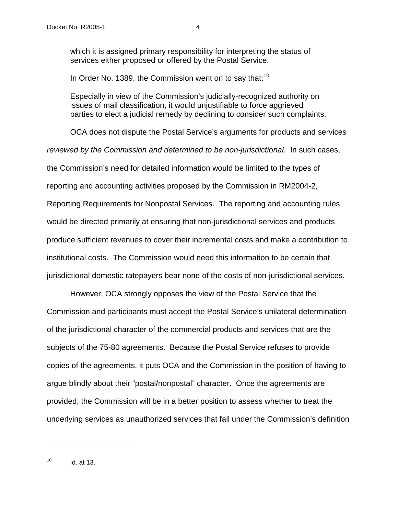which it is assigned primary responsibility for interpreting the status of services either proposed or offered by the Postal Service.

In Order No. 1389, the Commission went on to say that: $10<sup>10</sup>$ 

Especially in view of the Commission's judicially-recognized authority on issues of mail classification, it would unjustifiable to force aggrieved parties to elect a judicial remedy by declining to consider such complaints.

OCA does not dispute the Postal Service's arguments for products and services reviewed by the Commission and determined to be non-jurisdictional. In such cases, the Commission's need for detailed information would be limited to the types of reporting and accounting activities proposed by the Commission in RM2004-2, Reporting Requirements for Nonpostal Services. The reporting and accounting rules would be directed primarily at ensuring that non-jurisdictional services and products produce sufficient revenues to cover their incremental costs and make a contribution to institutional costs. The Commission would need this information to be certain that jurisdictional domestic ratepayers bear none of the costs of non-jurisdictional services.

 However, OCA strongly opposes the view of the Postal Service that the Commission and participants must accept the Postal Service's unilateral determination of the jurisdictional character of the commercial products and services that are the subjects of the 75-80 agreements. Because the Postal Service refuses to provide copies of the agreements, it puts OCA and the Commission in the position of having to argue blindly about their "postal/nonpostal" character. Once the agreements are provided, the Commission will be in a better position to assess whether to treat the underlying services as unauthorized services that fall under the Commission's definition

 $10$  Id. at 13.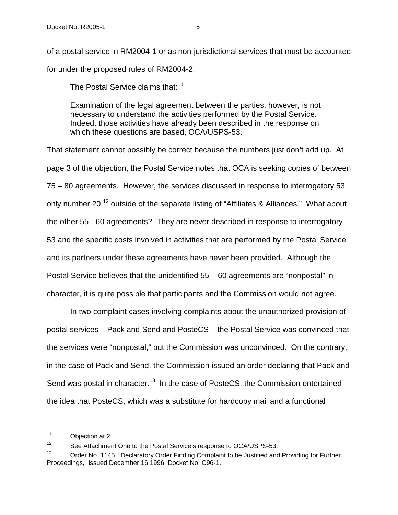of a postal service in RM2004-1 or as non-jurisdictional services that must be accounted for under the proposed rules of RM2004-2.

The Postal Service claims that:<sup>11</sup>

Examination of the legal agreement between the parties, however, is not necessary to understand the activities performed by the Postal Service. Indeed, those activities have already been described in the response on which these questions are based, OCA/USPS-53.

That statement cannot possibly be correct because the numbers just don't add up. At page 3 of the objection, the Postal Service notes that OCA is seeking copies of between 75 – 80 agreements. However, the services discussed in response to interrogatory 53 only number 20,<sup>12</sup> outside of the separate listing of "Affiliates & Alliances." What about the other 55 - 60 agreements? They are never described in response to interrogatory 53 and the specific costs involved in activities that are performed by the Postal Service and its partners under these agreements have never been provided. Although the Postal Service believes that the unidentified 55 – 60 agreements are "nonpostal" in character, it is quite possible that participants and the Commission would not agree.

In two complaint cases involving complaints about the unauthorized provision of postal services – Pack and Send and PosteCS – the Postal Service was convinced that the services were "nonpostal," but the Commission was unconvinced. On the contrary, in the case of Pack and Send, the Commission issued an order declaring that Pack and Send was postal in character.<sup>13</sup> In the case of PosteCS, the Commission entertained the idea that PosteCS, which was a substitute for hardcopy mail and a functional

<sup>11</sup> Objection at 2.

<sup>&</sup>lt;sup>12</sup> See Attachment One to the Postal Service's response to OCA/USPS-53.

<sup>&</sup>lt;sup>13</sup> Order No. 1145, "Declaratory Order Finding Complaint to be Justified and Providing for Further Proceedings," issued December 16 1996, Docket No. C96-1.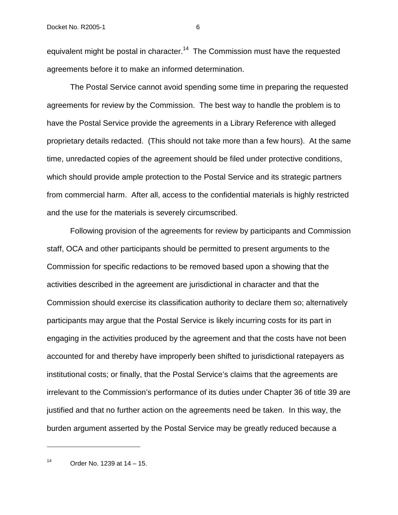equivalent might be postal in character.<sup>14</sup> The Commission must have the requested agreements before it to make an informed determination.

 The Postal Service cannot avoid spending some time in preparing the requested agreements for review by the Commission. The best way to handle the problem is to have the Postal Service provide the agreements in a Library Reference with alleged proprietary details redacted. (This should not take more than a few hours). At the same time, unredacted copies of the agreement should be filed under protective conditions, which should provide ample protection to the Postal Service and its strategic partners from commercial harm. After all, access to the confidential materials is highly restricted and the use for the materials is severely circumscribed.

Following provision of the agreements for review by participants and Commission staff, OCA and other participants should be permitted to present arguments to the Commission for specific redactions to be removed based upon a showing that the activities described in the agreement are jurisdictional in character and that the Commission should exercise its classification authority to declare them so; alternatively participants may argue that the Postal Service is likely incurring costs for its part in engaging in the activities produced by the agreement and that the costs have not been accounted for and thereby have improperly been shifted to jurisdictional ratepayers as institutional costs; or finally, that the Postal Service's claims that the agreements are irrelevant to the Commission's performance of its duties under Chapter 36 of title 39 are justified and that no further action on the agreements need be taken. In this way, the burden argument asserted by the Postal Service may be greatly reduced because a

 $14$  Order No. 1239 at  $14 - 15$ .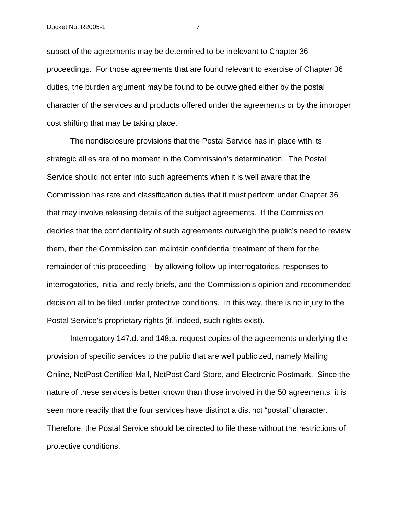subset of the agreements may be determined to be irrelevant to Chapter 36 proceedings. For those agreements that are found relevant to exercise of Chapter 36 duties, the burden argument may be found to be outweighed either by the postal character of the services and products offered under the agreements or by the improper cost shifting that may be taking place.

 The nondisclosure provisions that the Postal Service has in place with its strategic allies are of no moment in the Commission's determination. The Postal Service should not enter into such agreements when it is well aware that the Commission has rate and classification duties that it must perform under Chapter 36 that may involve releasing details of the subject agreements. If the Commission decides that the confidentiality of such agreements outweigh the public's need to review them, then the Commission can maintain confidential treatment of them for the remainder of this proceeding – by allowing follow-up interrogatories, responses to interrogatories, initial and reply briefs, and the Commission's opinion and recommended decision all to be filed under protective conditions. In this way, there is no injury to the Postal Service's proprietary rights (if, indeed, such rights exist).

 Interrogatory 147.d. and 148.a. request copies of the agreements underlying the provision of specific services to the public that are well publicized, namely Mailing Online, NetPost Certified Mail, NetPost Card Store, and Electronic Postmark. Since the nature of these services is better known than those involved in the 50 agreements, it is seen more readily that the four services have distinct a distinct "postal" character. Therefore, the Postal Service should be directed to file these without the restrictions of protective conditions.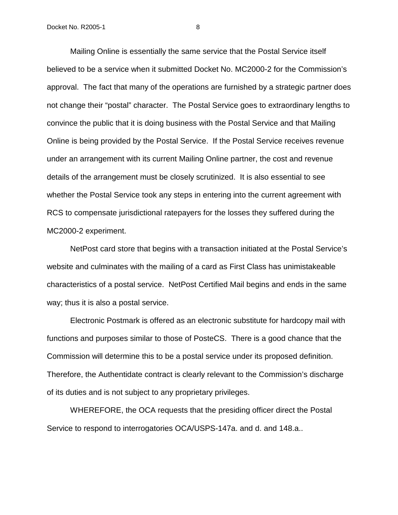Mailing Online is essentially the same service that the Postal Service itself believed to be a service when it submitted Docket No. MC2000-2 for the Commission's approval. The fact that many of the operations are furnished by a strategic partner does not change their "postal" character. The Postal Service goes to extraordinary lengths to convince the public that it is doing business with the Postal Service and that Mailing Online is being provided by the Postal Service. If the Postal Service receives revenue under an arrangement with its current Mailing Online partner, the cost and revenue details of the arrangement must be closely scrutinized. It is also essential to see whether the Postal Service took any steps in entering into the current agreement with RCS to compensate jurisdictional ratepayers for the losses they suffered during the MC2000-2 experiment.

 NetPost card store that begins with a transaction initiated at the Postal Service's website and culminates with the mailing of a card as First Class has unimistakeable characteristics of a postal service. NetPost Certified Mail begins and ends in the same way; thus it is also a postal service.

 Electronic Postmark is offered as an electronic substitute for hardcopy mail with functions and purposes similar to those of PosteCS. There is a good chance that the Commission will determine this to be a postal service under its proposed definition. Therefore, the Authentidate contract is clearly relevant to the Commission's discharge of its duties and is not subject to any proprietary privileges.

 WHEREFORE, the OCA requests that the presiding officer direct the Postal Service to respond to interrogatories OCA/USPS-147a. and d. and 148.a..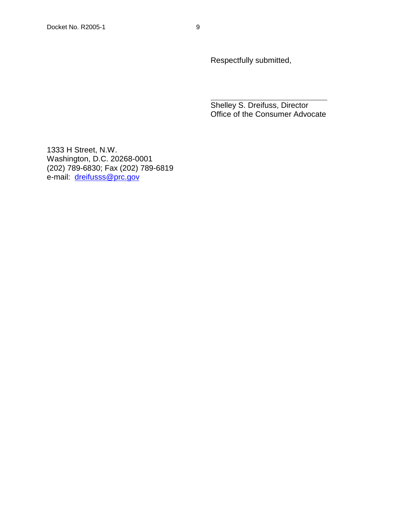Respectfully submitted,

Shelley S. Dreifuss, Director Office of the Consumer Advocate

1333 H Street, N.W. Washington, D.C. 20268-0001 (202) 789-6830; Fax (202) 789-6819 e-mail: dreifusss@prc.gov